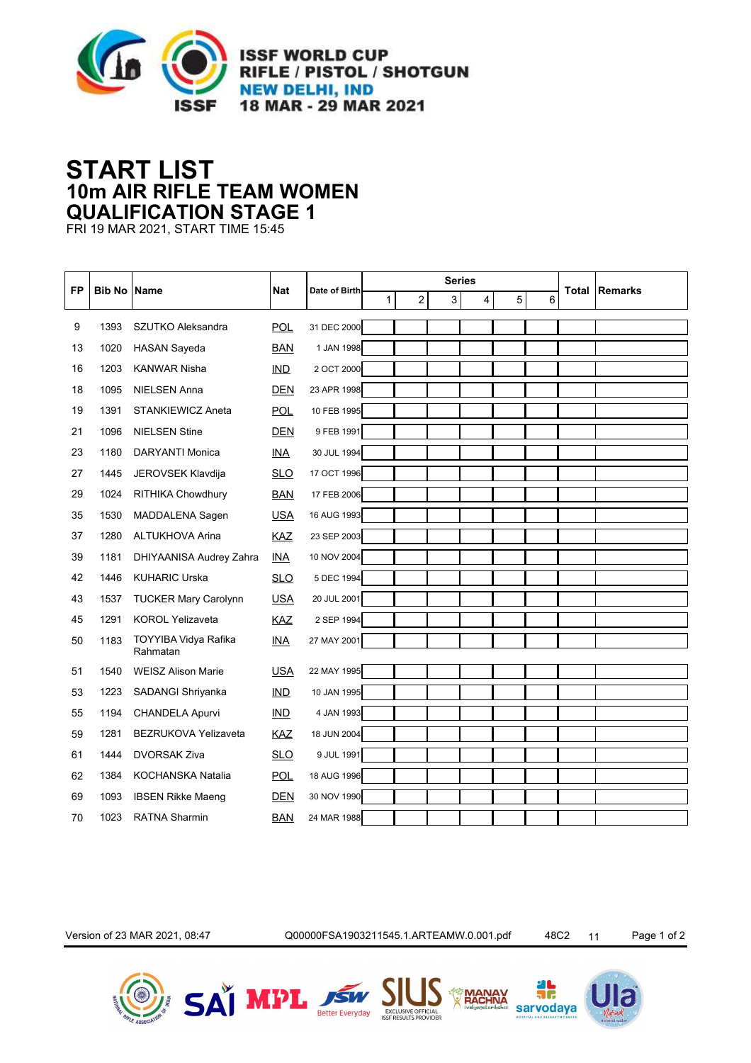

## **10m AIR RIFLE TEAM WOMEN START LIST QUALIFICATION STAGE 1**

FRI 19 MAR 2021, START TIME 15:45

| FP | <b>Bib No Name</b> |                                  | <b>Nat</b> | Date of Birth | <b>Series</b> |   |  |   |   |   |   | <b>Remarks</b> |  |
|----|--------------------|----------------------------------|------------|---------------|---------------|---|--|---|---|---|---|----------------|--|
|    |                    |                                  |            |               | $\mathbf{1}$  | 2 |  | 3 | 4 | 5 | 6 | <b>Total</b>   |  |
| 9  | 1393               | SZUTKO Aleksandra                | <b>POL</b> | 31 DEC 2000   |               |   |  |   |   |   |   |                |  |
| 13 | 1020               | <b>HASAN Sayeda</b>              | <b>BAN</b> | 1 JAN 1998    |               |   |  |   |   |   |   |                |  |
| 16 | 1203               | <b>KANWAR Nisha</b>              | IND        | 2 OCT 2000    |               |   |  |   |   |   |   |                |  |
| 18 | 1095               | <b>NIELSEN Anna</b>              | <b>DEN</b> | 23 APR 1998   |               |   |  |   |   |   |   |                |  |
| 19 | 1391               | <b>STANKIEWICZ Aneta</b>         | <b>POL</b> | 10 FEB 1995   |               |   |  |   |   |   |   |                |  |
| 21 | 1096               | <b>NIELSEN Stine</b>             | <b>DEN</b> | 9 FEB 1991    |               |   |  |   |   |   |   |                |  |
| 23 | 1180               | <b>DARYANTI Monica</b>           | <b>INA</b> | 30 JUL 1994   |               |   |  |   |   |   |   |                |  |
| 27 | 1445               | JEROVSEK Klavdija                | <b>SLO</b> | 17 OCT 1996   |               |   |  |   |   |   |   |                |  |
| 29 | 1024               | <b>RITHIKA Chowdhury</b>         | <b>BAN</b> | 17 FEB 2006   |               |   |  |   |   |   |   |                |  |
| 35 | 1530               | MADDALENA Sagen                  | <b>USA</b> | 16 AUG 1993   |               |   |  |   |   |   |   |                |  |
| 37 | 1280               | <b>ALTUKHOVA Arina</b>           | <b>KAZ</b> | 23 SEP 2003   |               |   |  |   |   |   |   |                |  |
| 39 | 1181               | DHIYAANISA Audrey Zahra          | <b>INA</b> | 10 NOV 2004   |               |   |  |   |   |   |   |                |  |
| 42 | 1446               | <b>KUHARIC Urska</b>             | <b>SLO</b> | 5 DEC 1994    |               |   |  |   |   |   |   |                |  |
| 43 | 1537               | <b>TUCKER Mary Carolynn</b>      | <b>USA</b> | 20 JUL 2001   |               |   |  |   |   |   |   |                |  |
| 45 | 1291               | <b>KOROL Yelizaveta</b>          | <b>KAZ</b> | 2 SEP 1994    |               |   |  |   |   |   |   |                |  |
| 50 | 1183               | TOYYIBA Vidya Rafika<br>Rahmatan | <b>INA</b> | 27 MAY 2001   |               |   |  |   |   |   |   |                |  |
| 51 | 1540               | <b>WEISZ Alison Marie</b>        | <b>USA</b> | 22 MAY 1995   |               |   |  |   |   |   |   |                |  |
| 53 | 1223               | SADANGI Shriyanka                | <b>IND</b> | 10 JAN 1995   |               |   |  |   |   |   |   |                |  |
| 55 | 1194               | CHANDELA Apurvi                  | <b>IND</b> | 4 JAN 1993    |               |   |  |   |   |   |   |                |  |
| 59 | 1281               | <b>BEZRUKOVA Yelizaveta</b>      | <b>KAZ</b> | 18 JUN 2004   |               |   |  |   |   |   |   |                |  |
| 61 | 1444               | <b>DVORSAK Ziva</b>              | <b>SLO</b> | 9 JUL 1991    |               |   |  |   |   |   |   |                |  |
| 62 | 1384               | KOCHANSKA Natalia                | <b>POL</b> | 18 AUG 1996   |               |   |  |   |   |   |   |                |  |
| 69 | 1093               | <b>IBSEN Rikke Maeng</b>         | <b>DEN</b> | 30 NOV 1990   |               |   |  |   |   |   |   |                |  |
| 70 | 1023               | <b>RATNA Sharmin</b>             | <b>BAN</b> | 24 MAR 1988   |               |   |  |   |   |   |   |                |  |

Version of 23 MAR 2021, 08:47 Q00000FSA1903211545.1.ARTEAMW.0.001.pdf 48C2 11 Page 1 of 2









JĒ